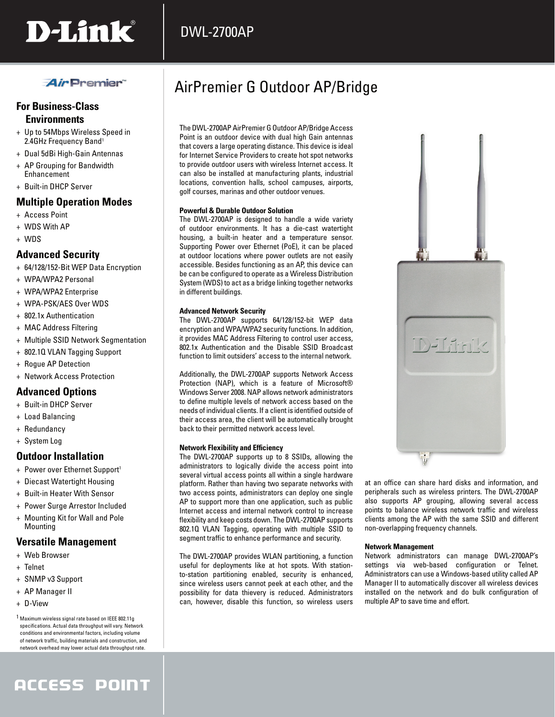

## *Air* Premier

### **For Business-Class Environments**

- + Up to 54Mbps Wireless Speed in 2.4GHz Frequency Band<sup>1</sup>
- + Dual 5dBi High-Gain Antennas
- + AP Grouping for Bandwidth Enhancement
- + Built-in DHCP Server

### **Multiple Operation Modes**

- + Access Point
- + WDS With AP
- + WDS

### **Advanced Security**

- + 64/128/152-Bit WEP Data Encryption
- + WPA/WPA2 Personal
- + WPA/WPA2 Enterprise
- + WPA-PSK/AES Over WDS
- + 802.1x Authentication
- + MAC Address Filtering
- + Multiple SSID Network Segmentation
- + 802.1Q VLAN Tagging Support
- + Rogue AP Detection
- + Network Access Protection

### **Advanced Options**

- + Built-in DHCP Server
- + Load Balancing
- + Redundancy
- + System Log

### **Outdoor Installation**

- + Power over Ethernet Support<sup>1</sup>
- + Diecast Watertight Housing
- + Built-in Heater With Sensor
- + Power Surge Arrestor Included
- + Mounting Kit for Wall and Pole **Mounting**

### **Versatile Management**

- + Web Browser
- + Telnet
- + SNMP v3 Support
- + AP Manager II
- + D-View

1 Maximum wireless signal rate based on IEEE 802.11g specifications. Actual data throughput will vary. Network conditions and environmental factors, including volume of network traffic, building materials and construction, and network overhead may lower actual data throughput rate.

# ACCESS POINT

# AirPremier G Outdoor AP/Bridge

The DWL-2700AP AirPremier G Outdoor AP/Bridge Access Point is an outdoor device with dual high Gain antennas that covers a large operating distance. This device is ideal for Internet Service Providers to create hot spot networks to provide outdoor users with wireless Internet access. It can also be installed at manufacturing plants, industrial locations, convention halls, school campuses, airports, golf courses, marinas and other outdoor venues.

#### **Powerful & Durable Outdoor Solution**

DWL-2700AP

The DWL-2700AP is designed to handle a wide variety of outdoor environments. It has a die-cast watertight housing, a built-in heater and a temperature sensor. Supporting Power over Ethernet (PoE), it can be placed at outdoor locations where power outlets are not easily accessible. Besides functioning as an AP, this device can be can be configured to operate as a Wireless Distribution System (WDS) to act as a bridge linking together networks in different buildings.

#### **Advanced Network Security**

The DWL-2700AP supports 64/128/152-bit WEP data encryption and WPA/WPA2 security functions. In addition, it provides MAC Address Filtering to control user access, 802.1x Authentication and the Disable SSID Broadcast function to limit outsiders' access to the internal network.

Additionally, the DWL-2700AP supports Network Access Protection (NAP), which is a feature of Microsoft® Windows Server 2008. NAP allows network administrators to define multiple levels of network access based on the needs of individual clients. If a client is identified outside of their access area, the client will be automatically brought back to their permitted network access level.

#### **Network Flexibility and Efficiency**

The DWL-2700AP supports up to 8 SSIDs, allowing the administrators to logically divide the access point into several virtual access points all within a single hardware platform. Rather than having two separate networks with two access points, administrators can deploy one single AP to support more than one application, such as public Internet access and internal network control to increase flexibility and keep costs down. The DWL-2700AP supports 802.1Q VLAN Tagging, operating with multiple SSID to segment traffic to enhance performance and security.

The DWL-2700AP provides WLAN partitioning, a function useful for deployments like at hot spots. With stationto-station partitioning enabled, security is enhanced, since wireless users cannot peek at each other, and the possibility for data thievery is reduced. Administrators can, however, disable this function, so wireless users at an office can share hard disks and information, and peripherals such as wireless printers. The DWL-2700AP also supports AP grouping, allowing several access points to balance wireless network traffic and wireless clients among the AP with the same SSID and different non-overlapping frequency channels.

#### **Network Management**

Network administrators can manage DWL-2700AP's settings via web-based configuration or Telnet. Administrators can use a Windows-based utility called AP Manager II to automatically discover all wireless devices installed on the network and do bulk configuration of multiple AP to save time and effort.

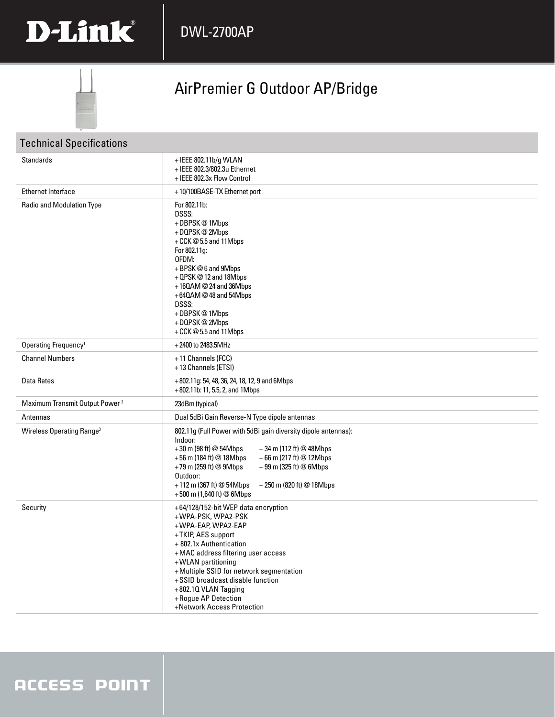



# AirPremier G Outdoor AP/Bridge

| <b>Technical Specifications</b>            |                                                                                                                                                                                                                                                                                                                                                           |  |
|--------------------------------------------|-----------------------------------------------------------------------------------------------------------------------------------------------------------------------------------------------------------------------------------------------------------------------------------------------------------------------------------------------------------|--|
| <b>Standards</b>                           | +IEEE 802.11b/g WLAN<br>+IEEE 802.3/802.3u Ethernet<br>+ IEEE 802.3x Flow Control                                                                                                                                                                                                                                                                         |  |
| <b>Ethernet Interface</b>                  | +10/100BASE-TX Ethernet port                                                                                                                                                                                                                                                                                                                              |  |
| Radio and Modulation Type                  | For 802.11b:<br>DSSS:<br>+DBPSK@1Mbps<br>+DQPSK@2Mbps<br>+CCK@5.5 and 11Mbps<br>For 802.11g:<br>OFDM:<br>+BPSK@6 and 9Mbps<br>+ QPSK @ 12 and 18Mbps<br>+160AM @ 24 and 36Mbps<br>+640AM @48 and 54Mbps<br>DSSS:<br>+DBPSK@1Mbps<br>+DQPSK@2Mbps<br>+CCK@5.5 and 11Mbps                                                                                   |  |
| Operating Frequency <sup>1</sup>           | +2400 to 2483.5MHz                                                                                                                                                                                                                                                                                                                                        |  |
| <b>Channel Numbers</b>                     | +11 Channels (FCC)<br>+13 Channels (ETSI)                                                                                                                                                                                                                                                                                                                 |  |
| Data Rates                                 | +802.11g: 54, 48, 36, 24, 18, 12, 9 and 6Mbps<br>+802.11b: 11, 5.5, 2, and 1Mbps                                                                                                                                                                                                                                                                          |  |
| Maximum Transmit Output Power <sup>2</sup> | 23dBm (typical)                                                                                                                                                                                                                                                                                                                                           |  |
| Antennas                                   | Dual 5dBi Gain Reverse-N Type dipole antennas                                                                                                                                                                                                                                                                                                             |  |
| Wireless Operating Range <sup>3</sup>      | 802.11g (Full Power with 5dBi gain diversity dipole antennas):<br>Indoor:<br>+30 m (98 ft) @ 54Mbps<br>$+34$ m (112 ft) @ 48Mbps<br>+66 m (217 ft) @ 12Mbps<br>+56 m (184 ft) @ 18Mbps<br>+79 m (259 ft) @ 9Mbps<br>+ 99 m (325 ft) @ 6Mbps<br>Outdoor:<br>$+112$ m (367 ft) @ 54Mbps<br>+ 250 m (820 ft) @ 18Mbps<br>+500 m (1,640 ft) @ 6Mbps           |  |
| Security                                   | +64/128/152-bit WEP data encryption<br>+WPA-PSK, WPA2-PSK<br>+WPA-EAP, WPA2-EAP<br>+TKIP, AES support<br>+ 802.1x Authentication<br>+MAC address filtering user access<br>+WLAN partitioning<br>+Multiple SSID for network segmentation<br>+SSID broadcast disable function<br>+802.10 VLAN Tagging<br>+ Rogue AP Detection<br>+Network Access Protection |  |

# **ACCESS POINT**